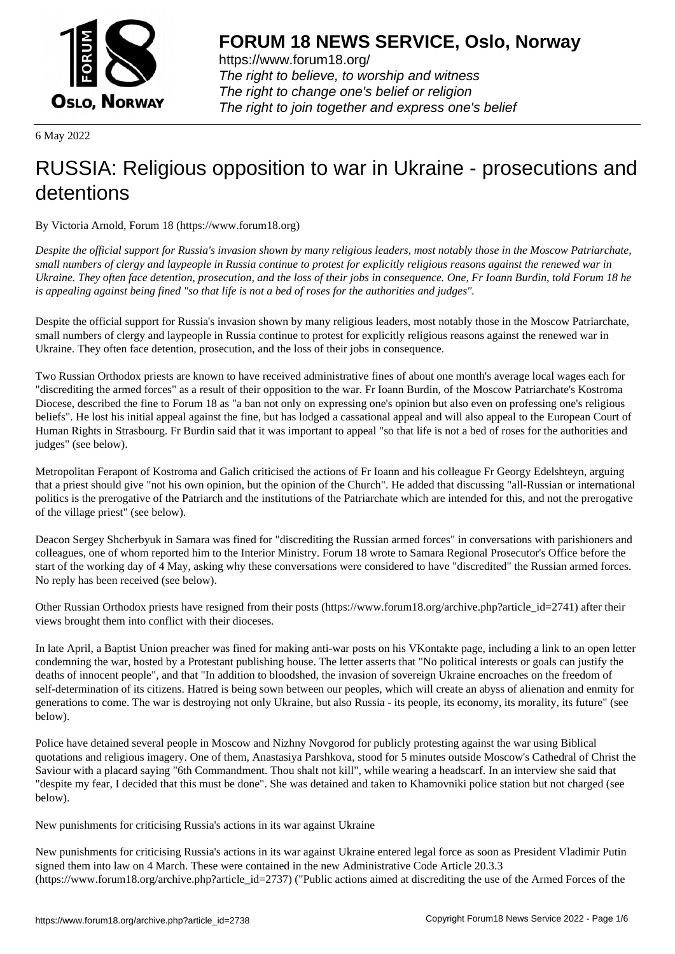

https://www.forum18.org/ The right to believe, to worship and witness The right to change one's belief or religion [The right to join together a](https://www.forum18.org/)nd express one's belief

6 May 2022

## [RUSSIA: Religi](https://www.forum18.org)ous opposition to war in Ukraine - prosecutions and detentions

By Victoria Arnold, Forum 18 (https://www.forum18.org)

*Despite the official support for Russia's invasion shown by many religious leaders, most notably those in the Moscow Patriarchate, small numbers of clergy and laypeople in Russia continue to protest for explicitly religious reasons against the renewed war in Ukraine. They often face detention, prosecution, and the loss of their jobs in consequence. One, Fr Ioann Burdin, told Forum 18 he is appealing against being fined "so that life is not a bed of roses for the authorities and judges".*

Despite the official support for Russia's invasion shown by many religious leaders, most notably those in the Moscow Patriarchate, small numbers of clergy and laypeople in Russia continue to protest for explicitly religious reasons against the renewed war in Ukraine. They often face detention, prosecution, and the loss of their jobs in consequence.

Two Russian Orthodox priests are known to have received administrative fines of about one month's average local wages each for "discrediting the armed forces" as a result of their opposition to the war. Fr Ioann Burdin, of the Moscow Patriarchate's Kostroma Diocese, described the fine to Forum 18 as "a ban not only on expressing one's opinion but also even on professing one's religious beliefs". He lost his initial appeal against the fine, but has lodged a cassational appeal and will also appeal to the European Court of Human Rights in Strasbourg. Fr Burdin said that it was important to appeal "so that life is not a bed of roses for the authorities and judges" (see below).

Metropolitan Ferapont of Kostroma and Galich criticised the actions of Fr Ioann and his colleague Fr Georgy Edelshteyn, arguing that a priest should give "not his own opinion, but the opinion of the Church". He added that discussing "all-Russian or international politics is the prerogative of the Patriarch and the institutions of the Patriarchate which are intended for this, and not the prerogative of the village priest" (see below).

Deacon Sergey Shcherbyuk in Samara was fined for "discrediting the Russian armed forces" in conversations with parishioners and colleagues, one of whom reported him to the Interior Ministry. Forum 18 wrote to Samara Regional Prosecutor's Office before the start of the working day of 4 May, asking why these conversations were considered to have "discredited" the Russian armed forces. No reply has been received (see below).

Other Russian Orthodox priests have resigned from their posts (https://www.forum18.org/archive.php?article\_id=2741) after their views brought them into conflict with their dioceses.

In late April, a Baptist Union preacher was fined for making anti-war posts on his VKontakte page, including a link to an open letter condemning the war, hosted by a Protestant publishing house. The letter asserts that "No political interests or goals can justify the deaths of innocent people", and that "In addition to bloodshed, the invasion of sovereign Ukraine encroaches on the freedom of self-determination of its citizens. Hatred is being sown between our peoples, which will create an abyss of alienation and enmity for generations to come. The war is destroying not only Ukraine, but also Russia - its people, its economy, its morality, its future" (see below).

Police have detained several people in Moscow and Nizhny Novgorod for publicly protesting against the war using Biblical quotations and religious imagery. One of them, Anastasiya Parshkova, stood for 5 minutes outside Moscow's Cathedral of Christ the Saviour with a placard saying "6th Commandment. Thou shalt not kill", while wearing a headscarf. In an interview she said that "despite my fear, I decided that this must be done". She was detained and taken to Khamovniki police station but not charged (see below).

New punishments for criticising Russia's actions in its war against Ukraine

New punishments for criticising Russia's actions in its war against Ukraine entered legal force as soon as President Vladimir Putin signed them into law on 4 March. These were contained in the new Administrative Code Article 20.3.3 (https://www.forum18.org/archive.php?article\_id=2737) ("Public actions aimed at discrediting the use of the Armed Forces of the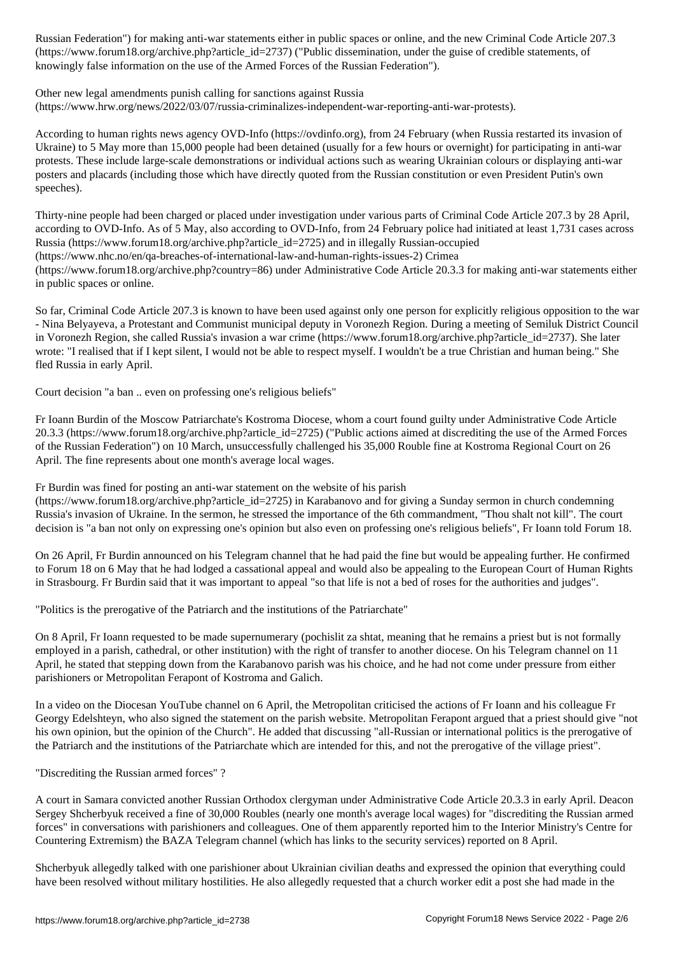(https://www.forumlar.com/archive.com/article\_id=2737) ("Public dissemination, under the guise of credible statements, of credible statements, of credible statements, of credible statements, of credible statements, of cre knowingly false information on the use of the Armed Forces of the Russian Federation").

Other new legal amendments punish calling for sanctions against Russia

(https://www.hrw.org/news/2022/03/07/russia-criminalizes-independent-war-reporting-anti-war-protests).

According to human rights news agency OVD-Info (https://ovdinfo.org), from 24 February (when Russia restarted its invasion of Ukraine) to 5 May more than 15,000 people had been detained (usually for a few hours or overnight) for participating in anti-war protests. These include large-scale demonstrations or individual actions such as wearing Ukrainian colours or displaying anti-war posters and placards (including those which have directly quoted from the Russian constitution or even President Putin's own speeches).

Thirty-nine people had been charged or placed under investigation under various parts of Criminal Code Article 207.3 by 28 April, according to OVD-Info. As of 5 May, also according to OVD-Info, from 24 February police had initiated at least 1,731 cases across Russia (https://www.forum18.org/archive.php?article\_id=2725) and in illegally Russian-occupied (https://www.nhc.no/en/qa-breaches-of-international-law-and-human-rights-issues-2) Crimea (https://www.forum18.org/archive.php?country=86) under Administrative Code Article 20.3.3 for making anti-war statements either in public spaces or online.

So far, Criminal Code Article 207.3 is known to have been used against only one person for explicitly religious opposition to the war - Nina Belyayeva, a Protestant and Communist municipal deputy in Voronezh Region. During a meeting of Semiluk District Council in Voronezh Region, she called Russia's invasion a war crime (https://www.forum18.org/archive.php?article\_id=2737). She later wrote: "I realised that if I kept silent, I would not be able to respect myself. I wouldn't be a true Christian and human being." She fled Russia in early April.

Court decision "a ban .. even on professing one's religious beliefs"

Fr Ioann Burdin of the Moscow Patriarchate's Kostroma Diocese, whom a court found guilty under Administrative Code Article 20.3.3 (https://www.forum18.org/archive.php?article\_id=2725) ("Public actions aimed at discrediting the use of the Armed Forces of the Russian Federation") on 10 March, unsuccessfully challenged his 35,000 Rouble fine at Kostroma Regional Court on 26 April. The fine represents about one month's average local wages.

Fr Burdin was fined for posting an anti-war statement on the website of his parish

 $(\text{https://www.forum18.org/architecture.php?article id=2725})$  in Karabanovo and for giving a Sunday sermon in church condemning Russia's invasion of Ukraine. In the sermon, he stressed the importance of the 6th commandment, "Thou shalt not kill". The court decision is "a ban not only on expressing one's opinion but also even on professing one's religious beliefs", Fr Ioann told Forum 18.

On 26 April, Fr Burdin announced on his Telegram channel that he had paid the fine but would be appealing further. He confirmed to Forum 18 on 6 May that he had lodged a cassational appeal and would also be appealing to the European Court of Human Rights in Strasbourg. Fr Burdin said that it was important to appeal "so that life is not a bed of roses for the authorities and judges".

"Politics is the prerogative of the Patriarch and the institutions of the Patriarchate"

On 8 April, Fr Ioann requested to be made supernumerary (pochislit za shtat, meaning that he remains a priest but is not formally employed in a parish, cathedral, or other institution) with the right of transfer to another diocese. On his Telegram channel on 11 April, he stated that stepping down from the Karabanovo parish was his choice, and he had not come under pressure from either parishioners or Metropolitan Ferapont of Kostroma and Galich.

In a video on the Diocesan YouTube channel on 6 April, the Metropolitan criticised the actions of Fr Ioann and his colleague Fr Georgy Edelshteyn, who also signed the statement on the parish website. Metropolitan Ferapont argued that a priest should give "not his own opinion, but the opinion of the Church". He added that discussing "all-Russian or international politics is the prerogative of the Patriarch and the institutions of the Patriarchate which are intended for this, and not the prerogative of the village priest".

"Discrediting the Russian armed forces" ?

A court in Samara convicted another Russian Orthodox clergyman under Administrative Code Article 20.3.3 in early April. Deacon Sergey Shcherbyuk received a fine of 30,000 Roubles (nearly one month's average local wages) for "discrediting the Russian armed forces" in conversations with parishioners and colleagues. One of them apparently reported him to the Interior Ministry's Centre for Countering Extremism) the BAZA Telegram channel (which has links to the security services) reported on 8 April.

Shcherbyuk allegedly talked with one parishioner about Ukrainian civilian deaths and expressed the opinion that everything could have been resolved without military hostilities. He also allegedly requested that a church worker edit a post she had made in the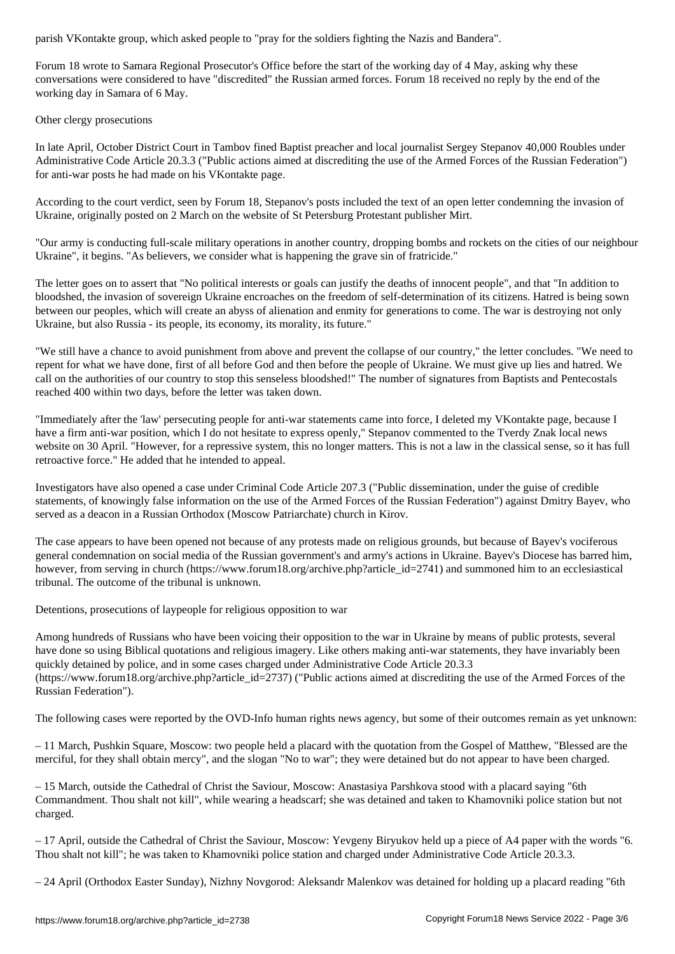Forum 18 wrote to Samara Regional Prosecutor's Office before the start of the working day of 4 May, asking why these conversations were considered to have "discredited" the Russian armed forces. Forum 18 received no reply by the end of the working day in Samara of 6 May.

## Other clergy prosecutions

In late April, October District Court in Tambov fined Baptist preacher and local journalist Sergey Stepanov 40,000 Roubles under Administrative Code Article 20.3.3 ("Public actions aimed at discrediting the use of the Armed Forces of the Russian Federation") for anti-war posts he had made on his VKontakte page.

According to the court verdict, seen by Forum 18, Stepanov's posts included the text of an open letter condemning the invasion of Ukraine, originally posted on 2 March on the website of St Petersburg Protestant publisher Mirt.

"Our army is conducting full-scale military operations in another country, dropping bombs and rockets on the cities of our neighbour Ukraine", it begins. "As believers, we consider what is happening the grave sin of fratricide."

The letter goes on to assert that "No political interests or goals can justify the deaths of innocent people", and that "In addition to bloodshed, the invasion of sovereign Ukraine encroaches on the freedom of self-determination of its citizens. Hatred is being sown between our peoples, which will create an abyss of alienation and enmity for generations to come. The war is destroying not only Ukraine, but also Russia - its people, its economy, its morality, its future."

"We still have a chance to avoid punishment from above and prevent the collapse of our country," the letter concludes. "We need to repent for what we have done, first of all before God and then before the people of Ukraine. We must give up lies and hatred. We call on the authorities of our country to stop this senseless bloodshed!" The number of signatures from Baptists and Pentecostals reached 400 within two days, before the letter was taken down.

"Immediately after the 'law' persecuting people for anti-war statements came into force, I deleted my VKontakte page, because I have a firm anti-war position, which I do not hesitate to express openly," Stepanov commented to the Tverdy Znak local news website on 30 April. "However, for a repressive system, this no longer matters. This is not a law in the classical sense, so it has full retroactive force." He added that he intended to appeal.

Investigators have also opened a case under Criminal Code Article 207.3 ("Public dissemination, under the guise of credible statements, of knowingly false information on the use of the Armed Forces of the Russian Federation") against Dmitry Bayev, who served as a deacon in a Russian Orthodox (Moscow Patriarchate) church in Kirov.

The case appears to have been opened not because of any protests made on religious grounds, but because of Bayev's vociferous general condemnation on social media of the Russian government's and army's actions in Ukraine. Bayev's Diocese has barred him, however, from serving in church (https://www.forum18.org/archive.php?article id=2741) and summoned him to an ecclesiastical tribunal. The outcome of the tribunal is unknown.

Detentions, prosecutions of laypeople for religious opposition to war

Among hundreds of Russians who have been voicing their opposition to the war in Ukraine by means of public protests, several have done so using Biblical quotations and religious imagery. Like others making anti-war statements, they have invariably been quickly detained by police, and in some cases charged under Administrative Code Article 20.3.3 (https://www.forum18.org/archive.php?article\_id=2737) ("Public actions aimed at discrediting the use of the Armed Forces of the Russian Federation").

The following cases were reported by the OVD-Info human rights news agency, but some of their outcomes remain as yet unknown:

– 11 March, Pushkin Square, Moscow: two people held a placard with the quotation from the Gospel of Matthew, "Blessed are the merciful, for they shall obtain mercy", and the slogan "No to war"; they were detained but do not appear to have been charged.

– 15 March, outside the Cathedral of Christ the Saviour, Moscow: Anastasiya Parshkova stood with a placard saying "6th Commandment. Thou shalt not kill", while wearing a headscarf; she was detained and taken to Khamovniki police station but not charged.

– 17 April, outside the Cathedral of Christ the Saviour, Moscow: Yevgeny Biryukov held up a piece of A4 paper with the words "6. Thou shalt not kill"; he was taken to Khamovniki police station and charged under Administrative Code Article 20.3.3.

– 24 April (Orthodox Easter Sunday), Nizhny Novgorod: Aleksandr Malenkov was detained for holding up a placard reading "6th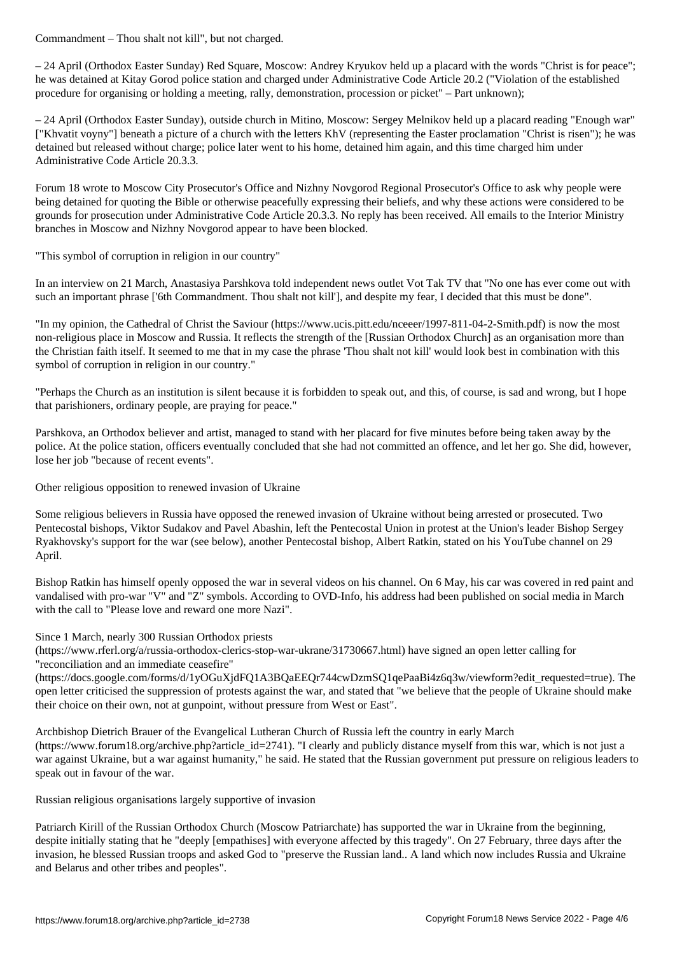– 24 April (Orthodox Easter Sunday) Red Square, Moscow: Andrey Kryukov held up a placard with the words "Christ is for peace"; he was detained at Kitay Gorod police station and charged under Administrative Code Article 20.2 ("Violation of the established procedure for organising or holding a meeting, rally, demonstration, procession or picket" – Part unknown);

– 24 April (Orthodox Easter Sunday), outside church in Mitino, Moscow: Sergey Melnikov held up a placard reading "Enough war" ["Khvatit voyny"] beneath a picture of a church with the letters KhV (representing the Easter proclamation "Christ is risen"); he was detained but released without charge; police later went to his home, detained him again, and this time charged him under Administrative Code Article 20.3.3.

Forum 18 wrote to Moscow City Prosecutor's Office and Nizhny Novgorod Regional Prosecutor's Office to ask why people were being detained for quoting the Bible or otherwise peacefully expressing their beliefs, and why these actions were considered to be grounds for prosecution under Administrative Code Article 20.3.3. No reply has been received. All emails to the Interior Ministry branches in Moscow and Nizhny Novgorod appear to have been blocked.

"This symbol of corruption in religion in our country"

In an interview on 21 March, Anastasiya Parshkova told independent news outlet Vot Tak TV that "No one has ever come out with such an important phrase ['6th Commandment. Thou shalt not kill'], and despite my fear, I decided that this must be done".

"In my opinion, the Cathedral of Christ the Saviour (https://www.ucis.pitt.edu/nceeer/1997-811-04-2-Smith.pdf) is now the most non-religious place in Moscow and Russia. It reflects the strength of the [Russian Orthodox Church] as an organisation more than the Christian faith itself. It seemed to me that in my case the phrase 'Thou shalt not kill' would look best in combination with this symbol of corruption in religion in our country."

"Perhaps the Church as an institution is silent because it is forbidden to speak out, and this, of course, is sad and wrong, but I hope that parishioners, ordinary people, are praying for peace."

Parshkova, an Orthodox believer and artist, managed to stand with her placard for five minutes before being taken away by the police. At the police station, officers eventually concluded that she had not committed an offence, and let her go. She did, however, lose her job "because of recent events".

Other religious opposition to renewed invasion of Ukraine

Some religious believers in Russia have opposed the renewed invasion of Ukraine without being arrested or prosecuted. Two Pentecostal bishops, Viktor Sudakov and Pavel Abashin, left the Pentecostal Union in protest at the Union's leader Bishop Sergey Ryakhovsky's support for the war (see below), another Pentecostal bishop, Albert Ratkin, stated on his YouTube channel on 29 April.

Bishop Ratkin has himself openly opposed the war in several videos on his channel. On 6 May, his car was covered in red paint and vandalised with pro-war "V" and "Z" symbols. According to OVD-Info, his address had been published on social media in March with the call to "Please love and reward one more Nazi".

Since 1 March, nearly 300 Russian Orthodox priests

(https://www.rferl.org/a/russia-orthodox-clerics-stop-war-ukrane/31730667.html) have signed an open letter calling for "reconciliation and an immediate ceasefire"

(https://docs.google.com/forms/d/1yOGuXjdFQ1A3BQaEEQr744cwDzmSQ1qePaaBi4z6q3w/viewform?edit\_requested=true). The open letter criticised the suppression of protests against the war, and stated that "we believe that the people of Ukraine should make their choice on their own, not at gunpoint, without pressure from West or East".

Archbishop Dietrich Brauer of the Evangelical Lutheran Church of Russia left the country in early March (https://www.forum18.org/archive.php?article\_id=2741). "I clearly and publicly distance myself from this war, which is not just a war against Ukraine, but a war against humanity," he said. He stated that the Russian government put pressure on religious leaders to speak out in favour of the war.

Russian religious organisations largely supportive of invasion

Patriarch Kirill of the Russian Orthodox Church (Moscow Patriarchate) has supported the war in Ukraine from the beginning, despite initially stating that he "deeply [empathises] with everyone affected by this tragedy". On 27 February, three days after the invasion, he blessed Russian troops and asked God to "preserve the Russian land.. A land which now includes Russia and Ukraine and Belarus and other tribes and peoples".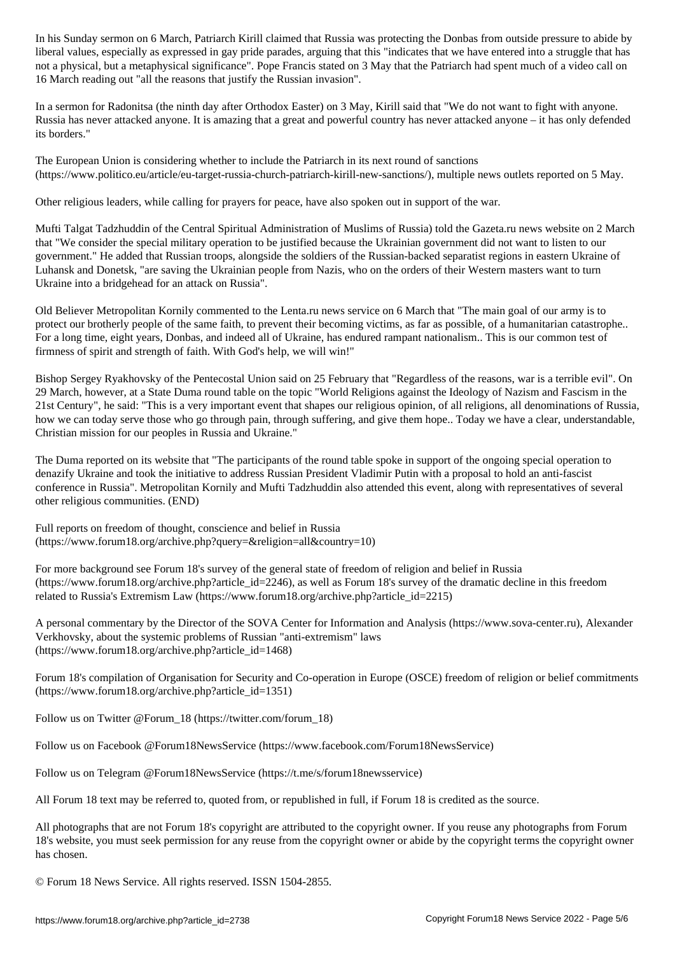liberal values, especially as expressed in gay prime parades, arguesthat we have entered in this think we have not a physical, but a metaphysical significance". Pope Francis stated on 3 May that the Patriarch had spent much of a video call on 16 March reading out "all the reasons that justify the Russian invasion".

In a sermon for Radonitsa (the ninth day after Orthodox Easter) on 3 May, Kirill said that "We do not want to fight with anyone. Russia has never attacked anyone. It is amazing that a great and powerful country has never attacked anyone – it has only defended its borders."

The European Union is considering whether to include the Patriarch in its next round of sanctions (https://www.politico.eu/article/eu-target-russia-church-patriarch-kirill-new-sanctions/), multiple news outlets reported on 5 May.

Other religious leaders, while calling for prayers for peace, have also spoken out in support of the war.

Mufti Talgat Tadzhuddin of the Central Spiritual Administration of Muslims of Russia) told the Gazeta.ru news website on 2 March that "We consider the special military operation to be justified because the Ukrainian government did not want to listen to our government." He added that Russian troops, alongside the soldiers of the Russian-backed separatist regions in eastern Ukraine of Luhansk and Donetsk, "are saving the Ukrainian people from Nazis, who on the orders of their Western masters want to turn Ukraine into a bridgehead for an attack on Russia".

Old Believer Metropolitan Kornily commented to the Lenta.ru news service on 6 March that "The main goal of our army is to protect our brotherly people of the same faith, to prevent their becoming victims, as far as possible, of a humanitarian catastrophe.. For a long time, eight years, Donbas, and indeed all of Ukraine, has endured rampant nationalism.. This is our common test of firmness of spirit and strength of faith. With God's help, we will win!"

Bishop Sergey Ryakhovsky of the Pentecostal Union said on 25 February that "Regardless of the reasons, war is a terrible evil". On 29 March, however, at a State Duma round table on the topic "World Religions against the Ideology of Nazism and Fascism in the 21st Century", he said: "This is a very important event that shapes our religious opinion, of all religions, all denominations of Russia, how we can today serve those who go through pain, through suffering, and give them hope.. Today we have a clear, understandable, Christian mission for our peoples in Russia and Ukraine."

The Duma reported on its website that "The participants of the round table spoke in support of the ongoing special operation to denazify Ukraine and took the initiative to address Russian President Vladimir Putin with a proposal to hold an anti-fascist conference in Russia". Metropolitan Kornily and Mufti Tadzhuddin also attended this event, along with representatives of several other religious communities. (END)

Full reports on freedom of thought, conscience and belief in Russia (https://www.forum18.org/archive.php?query=&religion=all&country=10)

For more background see Forum 18's survey of the general state of freedom of religion and belief in Russia (https://www.forum18.org/archive.php?article\_id=2246), as well as Forum 18's survey of the dramatic decline in this freedom related to Russia's Extremism Law (https://www.forum18.org/archive.php?article\_id=2215)

A personal commentary by the Director of the SOVA Center for Information and Analysis (https://www.sova-center.ru), Alexander Verkhovsky, about the systemic problems of Russian "anti-extremism" laws (https://www.forum18.org/archive.php?article\_id=1468)

Forum 18's compilation of Organisation for Security and Co-operation in Europe (OSCE) freedom of religion or belief commitments (https://www.forum18.org/archive.php?article\_id=1351)

Follow us on Twitter @Forum\_18 (https://twitter.com/forum\_18)

Follow us on Facebook @Forum18NewsService (https://www.facebook.com/Forum18NewsService)

Follow us on Telegram @Forum18NewsService (https://t.me/s/forum18newsservice)

All Forum 18 text may be referred to, quoted from, or republished in full, if Forum 18 is credited as the source.

All photographs that are not Forum 18's copyright are attributed to the copyright owner. If you reuse any photographs from Forum 18's website, you must seek permission for any reuse from the copyright owner or abide by the copyright terms the copyright owner has chosen.

© Forum 18 News Service. All rights reserved. ISSN 1504-2855.